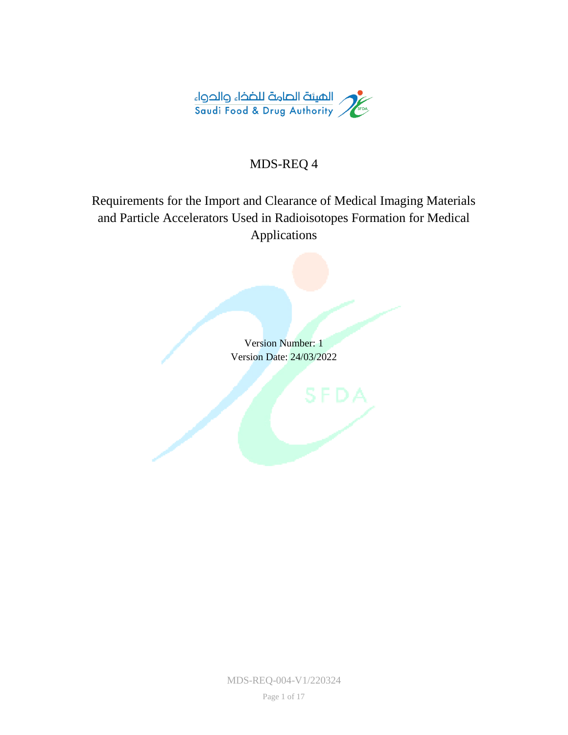

### MDS-REQ 4

### Requirements for the Import and Clearance of Medical Imaging Materials and Particle Accelerators Used in Radioisotopes Formation for Medical Applications

Version Number: 1 Version Date: 24/03/2022

MDS-REQ-004-V1/220324

Page 1 of 17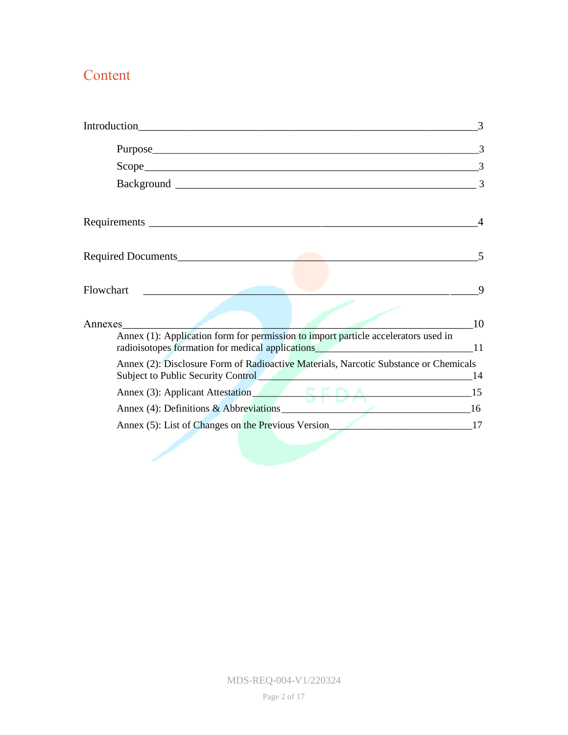## Content

|                                                                                                                                                                                                                                                                                                                        | 3  |
|------------------------------------------------------------------------------------------------------------------------------------------------------------------------------------------------------------------------------------------------------------------------------------------------------------------------|----|
| Purpose extension and the contract of the contract of the contract of the contract of the contract of the contract of the contract of the contract of the contract of the contract of the contract of the contract of the cont                                                                                         | 3  |
|                                                                                                                                                                                                                                                                                                                        | 3  |
|                                                                                                                                                                                                                                                                                                                        | 3  |
|                                                                                                                                                                                                                                                                                                                        |    |
|                                                                                                                                                                                                                                                                                                                        |    |
| Flowchart<br><u> 1980 - Jan Barbara Barbara, manala</u>                                                                                                                                                                                                                                                                | 9  |
| Annexes                                                                                                                                                                                                                                                                                                                | 10 |
| Annex (1): Application form for permission to import particle accelerators used in<br>radioisotopes formation for medical applications 11                                                                                                                                                                              |    |
| Annex (2): Disclosure Form of Radioactive Materials, Narcotic Substance or Chemicals<br>Subject to Public Security Control Control Control Content of the Content of the Content of the Content of the Content of the Content of the Content of the Content of the Content of the Content of the Content of the Conten | 14 |
| Annex (3): Applicant Attestation 15                                                                                                                                                                                                                                                                                    |    |
|                                                                                                                                                                                                                                                                                                                        |    |
| Annex (5): List of Changes on the Previous Version 17                                                                                                                                                                                                                                                                  |    |
|                                                                                                                                                                                                                                                                                                                        |    |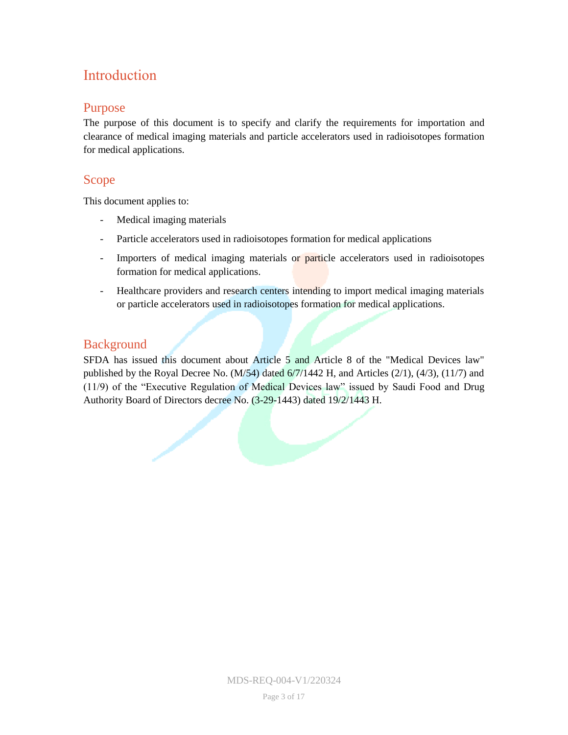## <span id="page-2-0"></span>Introduction

#### <span id="page-2-1"></span>Purpose

The purpose of this document is to specify and clarify the requirements for importation and clearance of medical imaging materials and particle accelerators used in radioisotopes formation for medical applications.

### <span id="page-2-2"></span>Scope<sub></sub>

This document applies to:

- Medical imaging materials
- Particle accelerators used in radioisotopes formation for medical applications
- Importers of medical imaging materials or particle accelerators used in radioisotopes formation for medical applications.
- Healthcare providers and research centers intending to import medical imaging materials or particle accelerators used in radioisotopes formation for medical applications.

### <span id="page-2-3"></span>**Background**

SFDA has issued this document about Article 5 and Article 8 of the "Medical Devices law" published by the Royal Decree No. (M/54) dated 6/7/1442 H, and Articles (2/1), (4/3), (11/7) and (11/9) of the "Executive Regulation of Medical Devices law" issued by Saudi Food and Drug Authority Board of Directors decree No. (3-29-1443) dated 19/2/1443 H.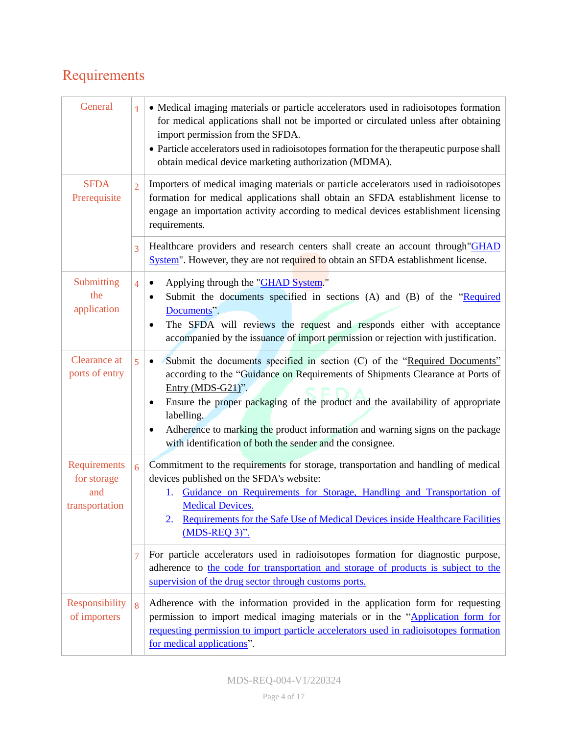# <span id="page-3-0"></span>Requirements

| General                                              | 1              | • Medical imaging materials or particle accelerators used in radioisotopes formation<br>for medical applications shall not be imported or circulated unless after obtaining<br>import permission from the SFDA.<br>• Particle accelerators used in radioisotopes formation for the therapeutic purpose shall<br>obtain medical device marketing authorization (MDMA).                                                                           |  |  |
|------------------------------------------------------|----------------|-------------------------------------------------------------------------------------------------------------------------------------------------------------------------------------------------------------------------------------------------------------------------------------------------------------------------------------------------------------------------------------------------------------------------------------------------|--|--|
| <b>SFDA</b><br>Prerequisite                          | $\overline{2}$ | Importers of medical imaging materials or particle accelerators used in radioisotopes<br>formation for medical applications shall obtain an SFDA establishment license to<br>engage an importation activity according to medical devices establishment licensing<br>requirements.                                                                                                                                                               |  |  |
|                                                      | 3              | Healthcare providers and research centers shall create an account through "GHAD<br>System". However, they are not required to obtain an SFDA establishment license.                                                                                                                                                                                                                                                                             |  |  |
| Submitting<br>the<br>application                     | $\overline{4}$ | Applying through the "GHAD System."<br>٠<br>Submit the documents specified in sections (A) and (B) of the "Required<br>Documents".<br>The SFDA will reviews the request and responds either with acceptance<br>accompanied by the issuance of import permission or rejection with justification.                                                                                                                                                |  |  |
| Clearance at<br>ports of entry                       | 5              | Submit the documents specified in section (C) of the "Required Documents"<br>$\bullet$<br>according to the "Guidance on Requirements of Shipments Clearance at Ports of<br>Entry (MDS-G21)".<br>Ensure the proper packaging of the product and the availability of appropriate<br>labelling.<br>Adherence to marking the product information and warning signs on the package<br>٠<br>with identification of both the sender and the consignee. |  |  |
| Requirements<br>for storage<br>and<br>transportation | $\overline{6}$ | Commitment to the requirements for storage, transportation and handling of medical<br>devices published on the SFDA's website:<br>Guidance on Requirements for Storage, Handling and Transportation of<br>1.<br><b>Medical Devices.</b><br>Requirements for the Safe Use of Medical Devices inside Healthcare Facilities<br>$(MDS-REQ 3)$ ".                                                                                                    |  |  |
|                                                      | 7              | For particle accelerators used in radioisotopes formation for diagnostic purpose,<br>adherence to the code for transportation and storage of products is subject to the<br>supervision of the drug sector through customs ports.                                                                                                                                                                                                                |  |  |
| Responsibility<br>of importers                       | 8              | Adherence with the information provided in the application form for requesting<br>permission to import medical imaging materials or in the "Application form for<br>requesting permission to import particle accelerators used in radioisotopes formation<br>for medical applications".                                                                                                                                                         |  |  |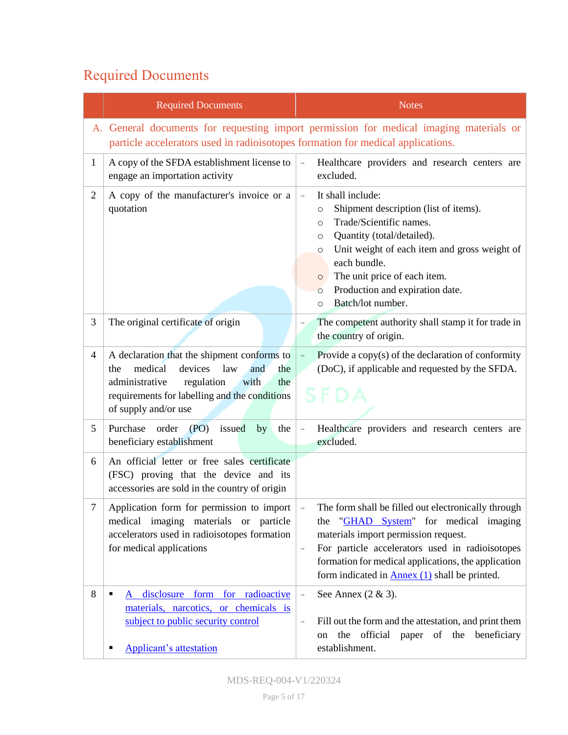# <span id="page-4-0"></span>Required Documents

|                | <b>Required Documents</b>                                                                                                                                                                                             | <b>Notes</b>                                                                                                                                                                                                                                                                                                                                                      |
|----------------|-----------------------------------------------------------------------------------------------------------------------------------------------------------------------------------------------------------------------|-------------------------------------------------------------------------------------------------------------------------------------------------------------------------------------------------------------------------------------------------------------------------------------------------------------------------------------------------------------------|
|                | particle accelerators used in radioisotopes formation for medical applications.                                                                                                                                       | A. General documents for requesting import permission for medical imaging materials or                                                                                                                                                                                                                                                                            |
| $\mathbf{1}$   | A copy of the SFDA establishment license to<br>engage an importation activity                                                                                                                                         | Healthcare providers and research centers are<br>excluded.                                                                                                                                                                                                                                                                                                        |
| $\overline{2}$ | A copy of the manufacturer's invoice or a<br>quotation                                                                                                                                                                | It shall include:<br>$\qquad \qquad -$<br>Shipment description (list of items).<br>$\circ$<br>Trade/Scientific names.<br>$\circ$<br>Quantity (total/detailed).<br>O<br>Unit weight of each item and gross weight of<br>O<br>each bundle.<br>The unit price of each item.<br>$\circ$<br>Production and expiration date.<br>$\circ$<br>Batch/lot number.<br>$\circ$ |
| 3              | The original certificate of origin                                                                                                                                                                                    | The competent authority shall stamp it for trade in<br>the country of origin.                                                                                                                                                                                                                                                                                     |
| 4              | A declaration that the shipment conforms to<br>medical<br>devices<br>law<br>the<br>and<br>the<br>administrative<br>regulation<br>with<br>the<br>requirements for labelling and the conditions<br>of supply and/or use | Provide a copy(s) of the declaration of conformity<br>(DoC), if applicable and requested by the SFDA.<br>SFDA                                                                                                                                                                                                                                                     |
| 5              | Purchase<br>order<br>(PO)<br>issued<br>by<br>the<br>beneficiary establishment                                                                                                                                         | Healthcare providers and research centers are<br>excluded.                                                                                                                                                                                                                                                                                                        |
| 6              | An official letter or free sales certificate<br>(FSC) proving that the device and its<br>accessories are sold in the country of origin                                                                                |                                                                                                                                                                                                                                                                                                                                                                   |
| 7              | Application form for permission to import<br>medical imaging materials<br>or particle<br>accelerators used in radioisotopes formation<br>for medical applications                                                     | The form shall be filled out electronically through<br>"GHAD System" for medical imaging<br>the<br>materials import permission request.<br>For particle accelerators used in radioisotopes<br>$\qquad \qquad -$<br>formation for medical applications, the application<br>form indicated in $\frac{\text{Annex}(1)}{\text{shall}}$ shall be printed.              |
| 8              | disclosure form for radioactive<br>٠<br>A<br>materials, narcotics, or chemicals is<br>subject to public security control<br><b>Applicant's attestation</b>                                                            | See Annex $(2 \& 3)$ .<br>$\qquad \qquad -$<br>Fill out the form and the attestation, and print them<br>$\qquad \qquad -$<br>the official paper of the beneficiary<br>on<br>establishment.                                                                                                                                                                        |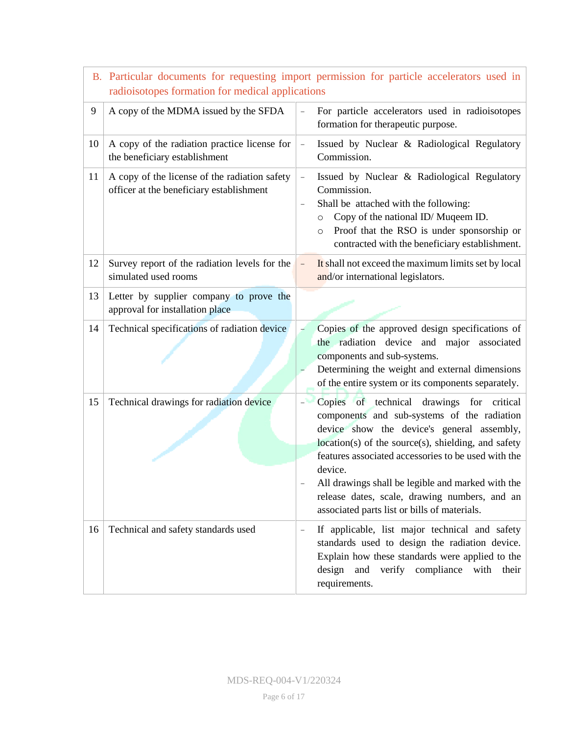|                                               | radioisotopes formation for medical applications                                          | B. Particular documents for requesting import permission for particle accelerators used in                                                                                                                                                                                                                                                                                                                            |  |
|-----------------------------------------------|-------------------------------------------------------------------------------------------|-----------------------------------------------------------------------------------------------------------------------------------------------------------------------------------------------------------------------------------------------------------------------------------------------------------------------------------------------------------------------------------------------------------------------|--|
| 9                                             | A copy of the MDMA issued by the SFDA                                                     | For particle accelerators used in radioisotopes<br>formation for therapeutic purpose.                                                                                                                                                                                                                                                                                                                                 |  |
| 10                                            | A copy of the radiation practice license for<br>the beneficiary establishment             | Issued by Nuclear & Radiological Regulatory<br>Commission.                                                                                                                                                                                                                                                                                                                                                            |  |
| 11                                            | A copy of the license of the radiation safety<br>officer at the beneficiary establishment | Issued by Nuclear & Radiological Regulatory<br>Commission.<br>Shall be attached with the following:<br>Copy of the national ID/Muqeem ID.<br>$\circ$<br>Proof that the RSO is under sponsorship or<br>$\circ$<br>contracted with the beneficiary establishment.                                                                                                                                                       |  |
| 12                                            | Survey report of the radiation levels for the<br>simulated used rooms                     | It shall not exceed the maximum limits set by local<br>$\overline{\phantom{a}}$<br>and/or international legislators.                                                                                                                                                                                                                                                                                                  |  |
| 13                                            | Letter by supplier company to prove the<br>approval for installation place                |                                                                                                                                                                                                                                                                                                                                                                                                                       |  |
| 14                                            | Technical specifications of radiation device                                              | Copies of the approved design specifications of<br>the radiation device and major associated<br>components and sub-systems.<br>Determining the weight and external dimensions<br>of the entire system or its components separately.                                                                                                                                                                                   |  |
| Technical drawings for radiation device<br>15 |                                                                                           | Copies of technical drawings for critical<br>components and sub-systems of the radiation<br>device show the device's general assembly,<br>location(s) of the source(s), shielding, and safety<br>features associated accessories to be used with the<br>device.<br>All drawings shall be legible and marked with the<br>release dates, scale, drawing numbers, and an<br>associated parts list or bills of materials. |  |
| 16                                            | Technical and safety standards used                                                       | If applicable, list major technical and safety<br>standards used to design the radiation device.<br>Explain how these standards were applied to the<br>design<br>and<br>verify compliance with their<br>requirements.                                                                                                                                                                                                 |  |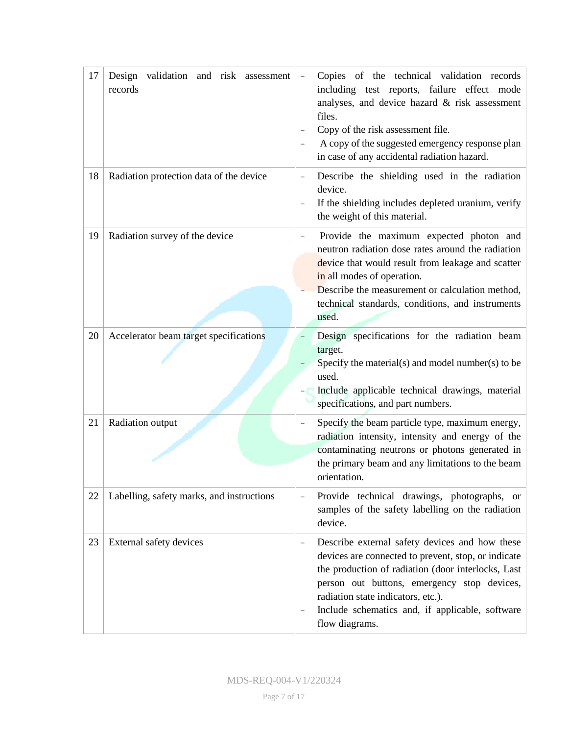| 17 | Design<br>validation and risk assessment<br>records | Copies of the technical validation records<br>including test reports, failure effect mode<br>analyses, and device hazard & risk assessment<br>files.<br>Copy of the risk assessment file.<br>A copy of the suggested emergency response plan<br>in case of any accidental radiation hazard.                                                       |
|----|-----------------------------------------------------|---------------------------------------------------------------------------------------------------------------------------------------------------------------------------------------------------------------------------------------------------------------------------------------------------------------------------------------------------|
| 18 | Radiation protection data of the device             | Describe the shielding used in the radiation<br>device.<br>If the shielding includes depleted uranium, verify<br>the weight of this material.                                                                                                                                                                                                     |
| 19 | Radiation survey of the device                      | Provide the maximum expected photon and<br>neutron radiation dose rates around the radiation<br>device that would result from leakage and scatter<br>in all modes of operation.<br>Describe the measurement or calculation method,<br>technical standards, conditions, and instruments<br>used.                                                   |
| 20 | Accelerator beam target specifications              | Design specifications for the radiation beam<br>target.<br>Specify the material(s) and model number(s) to be<br>used.<br>Include applicable technical drawings, material<br>specifications, and part numbers.                                                                                                                                     |
| 21 | Radiation output                                    | Specify the beam particle type, maximum energy,<br>$\qquad \qquad -$<br>radiation intensity, intensity and energy of the<br>contaminating neutrons or photons generated in<br>the primary beam and any limitations to the beam<br>orientation.                                                                                                    |
| 22 | Labelling, safety marks, and instructions           | Provide technical drawings, photographs, or<br>samples of the safety labelling on the radiation<br>device.                                                                                                                                                                                                                                        |
| 23 | External safety devices                             | Describe external safety devices and how these<br>$\overline{\phantom{a}}$<br>devices are connected to prevent, stop, or indicate<br>the production of radiation (door interlocks, Last<br>person out buttons, emergency stop devices,<br>radiation state indicators, etc.).<br>Include schematics and, if applicable, software<br>flow diagrams. |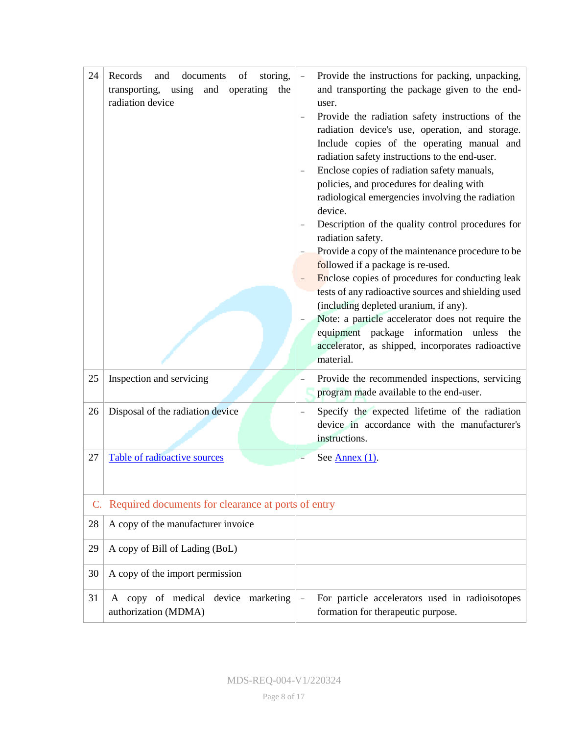| 24                                                       | Records<br>and<br>documents<br>of<br>storing,<br>transporting,<br>using<br>and<br>operating<br>the<br>radiation device | Provide the instructions for packing, unpacking,<br>and transporting the package given to the end-<br>user.<br>Provide the radiation safety instructions of the<br>radiation device's use, operation, and storage.<br>Include copies of the operating manual and<br>radiation safety instructions to the end-user.<br>Enclose copies of radiation safety manuals,<br>policies, and procedures for dealing with<br>radiological emergencies involving the radiation<br>device.<br>Description of the quality control procedures for<br>radiation safety.<br>Provide a copy of the maintenance procedure to be<br>followed if a package is re-used.<br>Enclose copies of procedures for conducting leak<br>tests of any radioactive sources and shielding used<br>(including depleted uranium, if any).<br>Note: a particle accelerator does not require the<br>equipment package information unless<br>the<br>accelerator, as shipped, incorporates radioactive<br>material. |
|----------------------------------------------------------|------------------------------------------------------------------------------------------------------------------------|-----------------------------------------------------------------------------------------------------------------------------------------------------------------------------------------------------------------------------------------------------------------------------------------------------------------------------------------------------------------------------------------------------------------------------------------------------------------------------------------------------------------------------------------------------------------------------------------------------------------------------------------------------------------------------------------------------------------------------------------------------------------------------------------------------------------------------------------------------------------------------------------------------------------------------------------------------------------------------|
| 25                                                       | Inspection and servicing                                                                                               | Provide the recommended inspections, servicing<br>program made available to the end-user.                                                                                                                                                                                                                                                                                                                                                                                                                                                                                                                                                                                                                                                                                                                                                                                                                                                                                   |
| 26                                                       | Disposal of the radiation device                                                                                       | Specify the expected lifetime of the radiation<br>device in accordance with the manufacturer's<br>instructions.                                                                                                                                                                                                                                                                                                                                                                                                                                                                                                                                                                                                                                                                                                                                                                                                                                                             |
| 27                                                       | Table of radioactive sources                                                                                           | See Annex $(1)$ .                                                                                                                                                                                                                                                                                                                                                                                                                                                                                                                                                                                                                                                                                                                                                                                                                                                                                                                                                           |
|                                                          |                                                                                                                        |                                                                                                                                                                                                                                                                                                                                                                                                                                                                                                                                                                                                                                                                                                                                                                                                                                                                                                                                                                             |
| Required documents for clearance at ports of entry<br>C. |                                                                                                                        |                                                                                                                                                                                                                                                                                                                                                                                                                                                                                                                                                                                                                                                                                                                                                                                                                                                                                                                                                                             |
| 28                                                       | A copy of the manufacturer invoice                                                                                     |                                                                                                                                                                                                                                                                                                                                                                                                                                                                                                                                                                                                                                                                                                                                                                                                                                                                                                                                                                             |
| 29                                                       | A copy of Bill of Lading (BoL)                                                                                         |                                                                                                                                                                                                                                                                                                                                                                                                                                                                                                                                                                                                                                                                                                                                                                                                                                                                                                                                                                             |
| 30                                                       | A copy of the import permission                                                                                        |                                                                                                                                                                                                                                                                                                                                                                                                                                                                                                                                                                                                                                                                                                                                                                                                                                                                                                                                                                             |
| 31                                                       | A copy of medical device marketing<br>authorization (MDMA)                                                             | For particle accelerators used in radioisotopes<br>formation for therapeutic purpose.                                                                                                                                                                                                                                                                                                                                                                                                                                                                                                                                                                                                                                                                                                                                                                                                                                                                                       |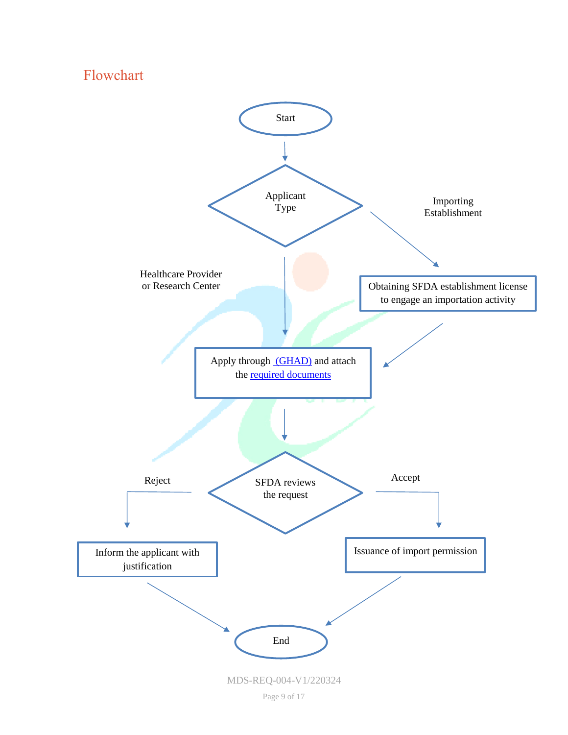### <span id="page-8-0"></span>Flowchart

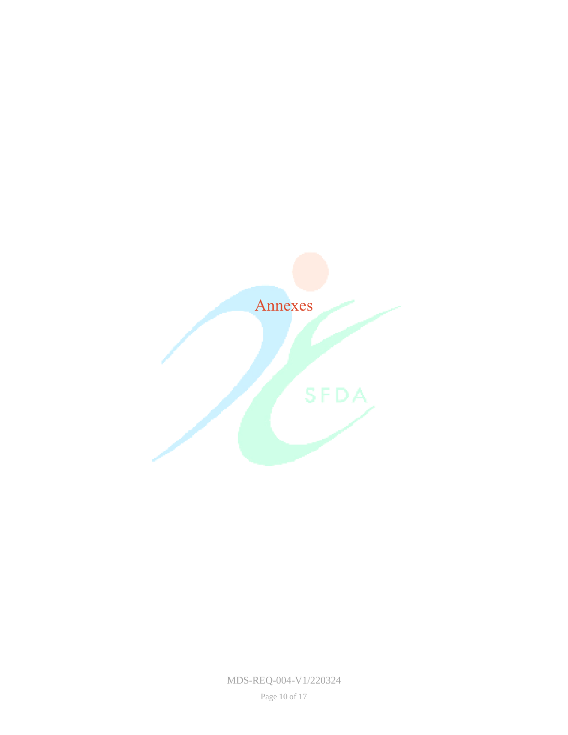<span id="page-9-0"></span>

MDS-REQ-004-V1/220324

Page 10 of 17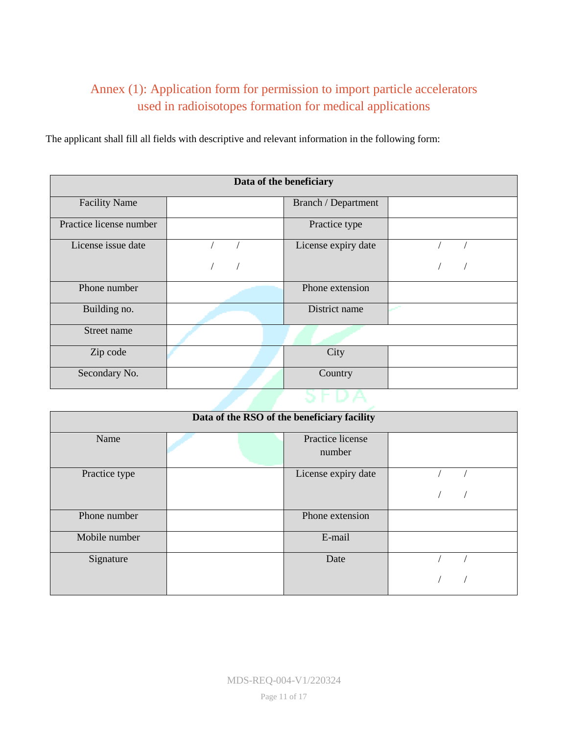### <span id="page-10-0"></span>Annex (1): Application form for permission to import particle accelerators used in radioisotopes formation for medical applications

The applicant shall fill all fields with descriptive and relevant information in the following form:

| Data of the beneficiary |  |                     |  |  |
|-------------------------|--|---------------------|--|--|
| <b>Facility Name</b>    |  | Branch / Department |  |  |
| Practice license number |  | Practice type       |  |  |
| License issue date      |  | License expiry date |  |  |
|                         |  |                     |  |  |
| Phone number            |  | Phone extension     |  |  |
| Building no.            |  | District name       |  |  |
| Street name             |  |                     |  |  |
| Zip code                |  | City                |  |  |
| Secondary No.           |  | Country             |  |  |
|                         |  |                     |  |  |

| Data of the RSO of the beneficiary facility |  |                            |  |
|---------------------------------------------|--|----------------------------|--|
| Name                                        |  | Practice license<br>number |  |
|                                             |  |                            |  |
| Practice type                               |  | License expiry date        |  |
|                                             |  |                            |  |
| Phone number                                |  | Phone extension            |  |
| Mobile number                               |  | E-mail                     |  |
| Signature                                   |  | Date                       |  |
|                                             |  |                            |  |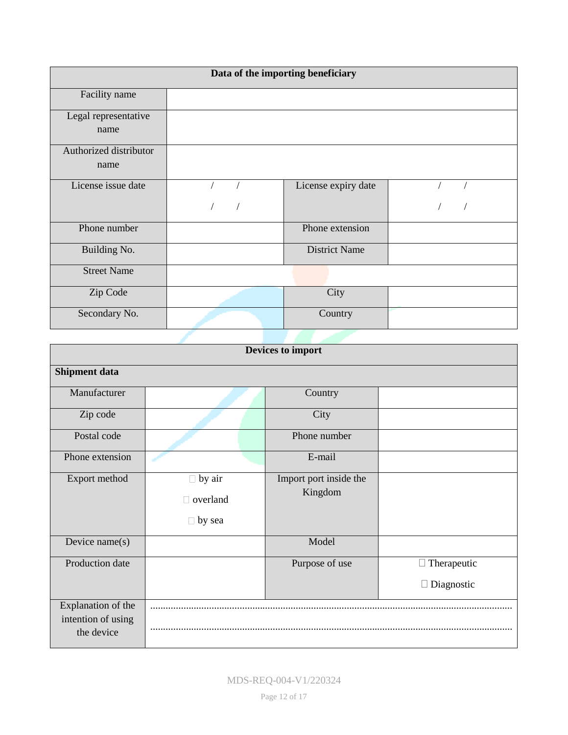| Data of the importing beneficiary |  |                      |  |  |
|-----------------------------------|--|----------------------|--|--|
| Facility name                     |  |                      |  |  |
| Legal representative<br>name      |  |                      |  |  |
| Authorized distributor<br>name    |  |                      |  |  |
| License issue date                |  | License expiry date  |  |  |
|                                   |  |                      |  |  |
| Phone number                      |  | Phone extension      |  |  |
| Building No.                      |  | <b>District Name</b> |  |  |
| <b>Street Name</b>                |  |                      |  |  |
| Zip Code                          |  | City                 |  |  |
| Secondary No.                     |  | Country              |  |  |
|                                   |  |                      |  |  |

| Devices to import    |                 |                        |                    |  |
|----------------------|-----------------|------------------------|--------------------|--|
| <b>Shipment data</b> |                 |                        |                    |  |
| Manufacturer         |                 | Country                |                    |  |
| Zip code             |                 | City                   |                    |  |
| Postal code          |                 | Phone number           |                    |  |
| Phone extension      |                 | E-mail                 |                    |  |
| Export method        | $\Box$ by air   | Import port inside the |                    |  |
|                      | $\Box$ overland | Kingdom                |                    |  |
|                      | $\Box$ by sea   |                        |                    |  |
| Device $name(s)$     |                 | Model                  |                    |  |
| Production date      |                 | Purpose of use         | $\Box$ Therapeutic |  |
|                      |                 |                        | $\Box$ Diagnostic  |  |
| Explanation of the   |                 |                        |                    |  |
| intention of using   |                 |                        |                    |  |
| the device           |                 |                        |                    |  |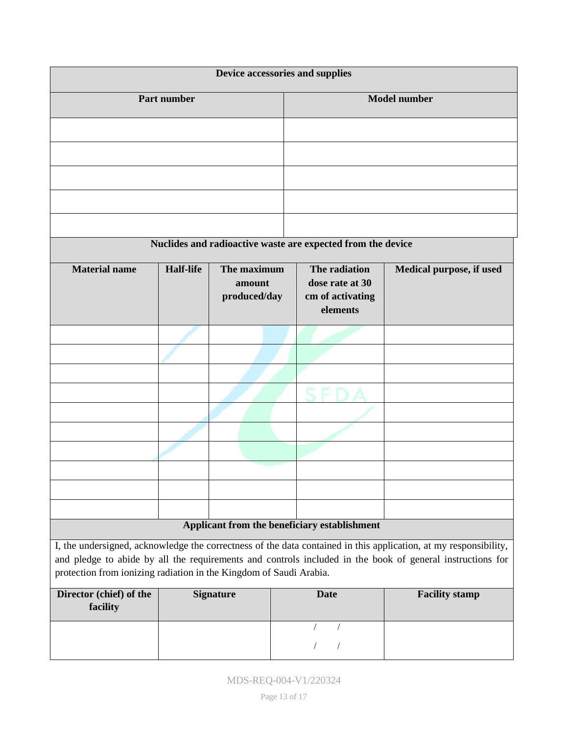| Device accessories and supplies                                                                                  |  |                                                                  |                                                             |  |
|------------------------------------------------------------------------------------------------------------------|--|------------------------------------------------------------------|-------------------------------------------------------------|--|
| Part number                                                                                                      |  |                                                                  | <b>Model number</b>                                         |  |
|                                                                                                                  |  |                                                                  |                                                             |  |
|                                                                                                                  |  |                                                                  |                                                             |  |
|                                                                                                                  |  |                                                                  |                                                             |  |
|                                                                                                                  |  |                                                                  |                                                             |  |
|                                                                                                                  |  |                                                                  |                                                             |  |
|                                                                                                                  |  |                                                                  | Nuclides and radioactive waste are expected from the device |  |
| <b>Material name</b><br><b>Half-life</b><br>The maximum<br>amount<br>produced/day                                |  | The radiation<br>dose rate at 30<br>cm of activating<br>elements | Medical purpose, if used                                    |  |
|                                                                                                                  |  |                                                                  |                                                             |  |
|                                                                                                                  |  |                                                                  |                                                             |  |
|                                                                                                                  |  |                                                                  |                                                             |  |
|                                                                                                                  |  |                                                                  |                                                             |  |
|                                                                                                                  |  |                                                                  |                                                             |  |
|                                                                                                                  |  |                                                                  |                                                             |  |
|                                                                                                                  |  |                                                                  |                                                             |  |
|                                                                                                                  |  |                                                                  |                                                             |  |
|                                                                                                                  |  |                                                                  |                                                             |  |
| Applicant from the beneficiary establishment                                                                     |  |                                                                  |                                                             |  |
| I, the undersigned, acknowledge the correctness of the data contained in this application, at my responsibility, |  |                                                                  |                                                             |  |

and pledge to abide by all the requirements and controls included in the book of general instructions for protection from ionizing radiation in the Kingdom of Saudi Arabia.

| Director (chief) of the<br>facility | <b>Signature</b> | <b>Date</b> | <b>Facility stamp</b> |
|-------------------------------------|------------------|-------------|-----------------------|
|                                     |                  |             |                       |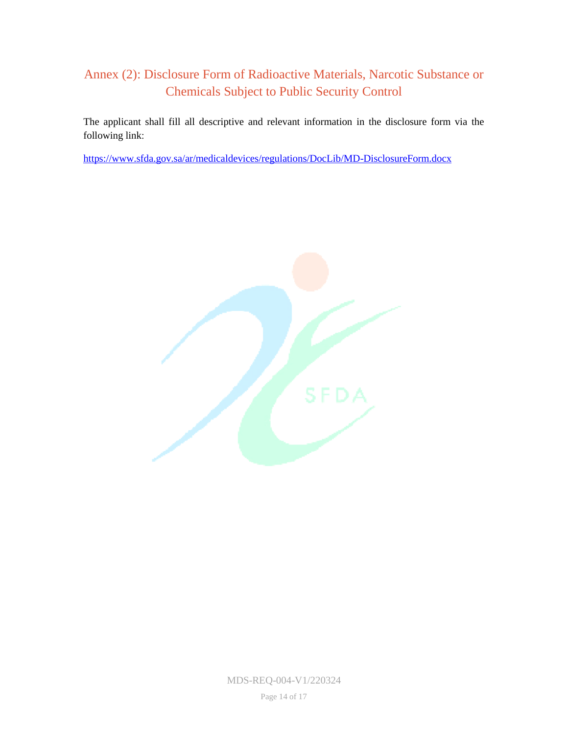### <span id="page-13-0"></span>Annex (2): Disclosure Form of Radioactive Materials, Narcotic Substance or Chemicals Subject to Public Security Control

The applicant shall fill all descriptive and relevant information in the disclosure form via the following link:

<https://www.sfda.gov.sa/ar/medicaldevices/regulations/DocLib/MD-DisclosureForm.docx>



MDS-REQ-004-V1/220324

Page 14 of 17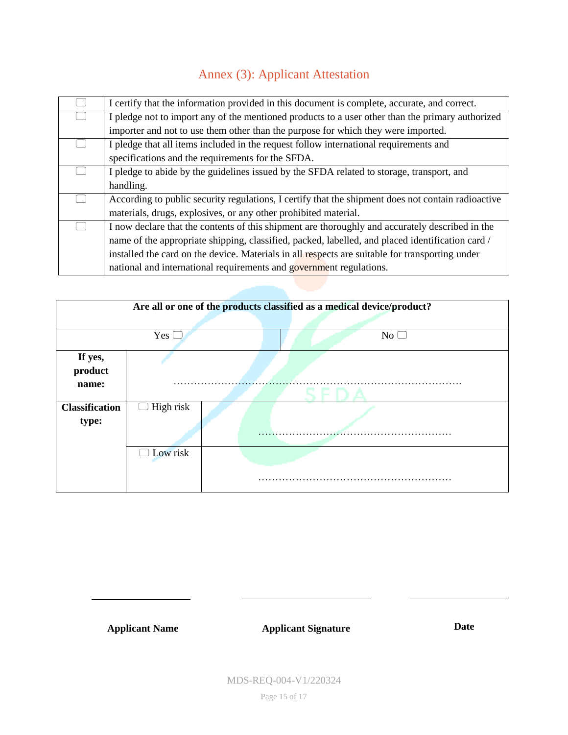## Annex (3): Applicant Attestation

<span id="page-14-0"></span>

| I certify that the information provided in this document is complete, accurate, and correct.       |  |  |
|----------------------------------------------------------------------------------------------------|--|--|
| I pledge not to import any of the mentioned products to a user other than the primary authorized   |  |  |
| importer and not to use them other than the purpose for which they were imported.                  |  |  |
| I pledge that all items included in the request follow international requirements and              |  |  |
| specifications and the requirements for the SFDA.                                                  |  |  |
| I pledge to abide by the guidelines issued by the SFDA related to storage, transport, and          |  |  |
| handling.                                                                                          |  |  |
| According to public security regulations, I certify that the shipment does not contain radioactive |  |  |
| materials, drugs, explosives, or any other prohibited material.                                    |  |  |
| I now declare that the contents of this shipment are thoroughly and accurately described in the    |  |  |
| name of the appropriate shipping, classified, packed, labelled, and placed identification card /   |  |  |
| installed the card on the device. Materials in all respects are suitable for transporting under    |  |  |
| national and international requirements and government regulations.                                |  |  |

| Are all or one of the products classified as a medical device/product? |                  |  |    |  |  |  |
|------------------------------------------------------------------------|------------------|--|----|--|--|--|
|                                                                        |                  |  |    |  |  |  |
|                                                                        | Yes (            |  | No |  |  |  |
| If yes,<br>product<br>name:                                            |                  |  |    |  |  |  |
| <b>Classification</b><br>type:                                         | $\Box$ High risk |  |    |  |  |  |
|                                                                        | Low risk         |  |    |  |  |  |

**Applicant Name Applicant Signature Date**

MDS-REQ-004-V1/220324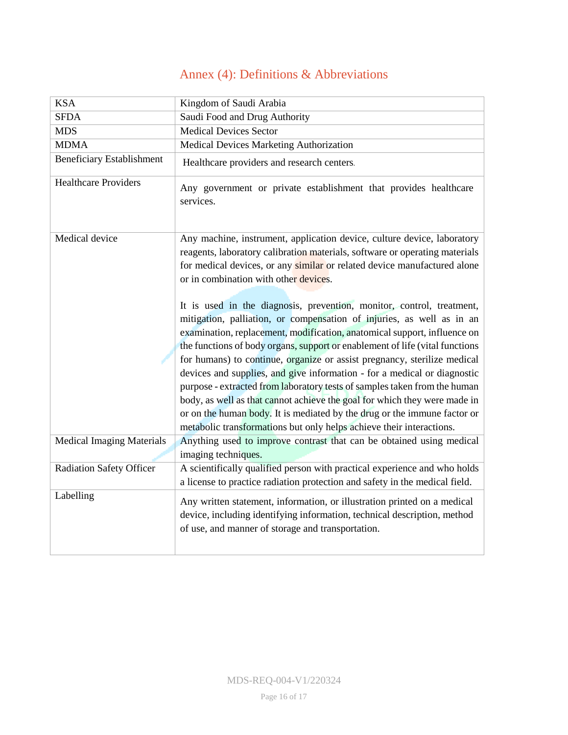## Annex (4): Definitions & Abbreviations

<span id="page-15-0"></span>

| <b>KSA</b>                       | Kingdom of Saudi Arabia                                                                                                                                                                                                                                                                                                                                                                                                                                                                                                                                                                                                                                                                                                                                                          |
|----------------------------------|----------------------------------------------------------------------------------------------------------------------------------------------------------------------------------------------------------------------------------------------------------------------------------------------------------------------------------------------------------------------------------------------------------------------------------------------------------------------------------------------------------------------------------------------------------------------------------------------------------------------------------------------------------------------------------------------------------------------------------------------------------------------------------|
| <b>SFDA</b>                      | Saudi Food and Drug Authority                                                                                                                                                                                                                                                                                                                                                                                                                                                                                                                                                                                                                                                                                                                                                    |
| <b>MDS</b>                       | <b>Medical Devices Sector</b>                                                                                                                                                                                                                                                                                                                                                                                                                                                                                                                                                                                                                                                                                                                                                    |
| <b>MDMA</b>                      | Medical Devices Marketing Authorization                                                                                                                                                                                                                                                                                                                                                                                                                                                                                                                                                                                                                                                                                                                                          |
| <b>Beneficiary Establishment</b> | Healthcare providers and research centers.                                                                                                                                                                                                                                                                                                                                                                                                                                                                                                                                                                                                                                                                                                                                       |
| <b>Healthcare Providers</b>      | Any government or private establishment that provides healthcare<br>services.                                                                                                                                                                                                                                                                                                                                                                                                                                                                                                                                                                                                                                                                                                    |
| Medical device                   | Any machine, instrument, application device, culture device, laboratory<br>reagents, laboratory calibration materials, software or operating materials<br>for medical devices, or any similar or related device manufactured alone<br>or in combination with other devices.                                                                                                                                                                                                                                                                                                                                                                                                                                                                                                      |
|                                  | It is used in the diagnosis, prevention, monitor, control, treatment,<br>mitigation, palliation, or compensation of injuries, as well as in an<br>examination, replacement, modification, anatomical support, influence on<br>the functions of body organs, support or enablement of life (vital functions<br>for humans) to continue, organize or assist pregnancy, sterilize medical<br>devices and supplies, and give information - for a medical or diagnostic<br>purpose - extracted from laboratory tests of samples taken from the human<br>body, as well as that cannot achieve the goal for which they were made in<br>or on the human body. It is mediated by the drug or the immune factor or<br>metabolic transformations but only helps achieve their interactions. |
| <b>Medical Imaging Materials</b> | Anything used to improve contrast that can be obtained using medical<br>imaging techniques.                                                                                                                                                                                                                                                                                                                                                                                                                                                                                                                                                                                                                                                                                      |
| <b>Radiation Safety Officer</b>  | A scientifically qualified person with practical experience and who holds<br>a license to practice radiation protection and safety in the medical field.                                                                                                                                                                                                                                                                                                                                                                                                                                                                                                                                                                                                                         |
| Labelling                        | Any written statement, information, or illustration printed on a medical<br>device, including identifying information, technical description, method<br>of use, and manner of storage and transportation.                                                                                                                                                                                                                                                                                                                                                                                                                                                                                                                                                                        |